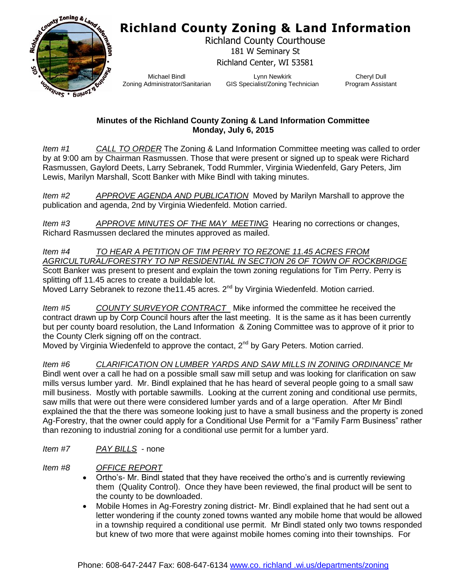## **Richland County Zoning & Land Information**



Richland County Courthouse 181 W Seminary St Richland Center, WI 53581

Michael Bindl Zoning Administrator/Sanitarian

Lynn Newkirk GIS Specialist/Zoning Technician

Cheryl Dull Program Assistant

## **Minutes of the Richland County Zoning & Land Information Committee Monday, July 6, 2015**

*Item #1 CALL TO ORDER* The Zoning & Land Information Committee meeting was called to order by at 9:00 am by Chairman Rasmussen. Those that were present or signed up to speak were Richard Rasmussen, Gaylord Deets, Larry Sebranek, Todd Rummler, Virginia Wiedenfeld, Gary Peters, Jim Lewis, Marilyn Marshall, Scott Banker with Mike Bindl with taking minutes.

*Item #2 APPROVE AGENDA AND PUBLICATION* Moved by Marilyn Marshall to approve the publication and agenda, 2nd by Virginia Wiedenfeld. Motion carried.

*Item #3 APPROVE MINUTES OF THE MAY MEETING* Hearing no corrections or changes, Richard Rasmussen declared the minutes approved as mailed.

*Item #4 TO HEAR A PETITION OF TIM PERRY TO REZONE 11.45 ACRES FROM AGRICULTURAL/FORESTRY TO NP RESIDENTIAL IN SECTION 26 OF TOWN OF ROCKBRIDGE* Scott Banker was present to present and explain the town zoning regulations for Tim Perry. Perry is splitting off 11.45 acres to create a buildable lot. Moved Larry Sebranek to rezone the11.45 acres. 2<sup>nd</sup> by Virginia Wiedenfeld. Motion carried.

*Item #5 COUNTY SURVEYOR CONTRACT* Mike informed the committee he received the

contract drawn up by Corp Council hours after the last meeting. It is the same as it has been currently but per county board resolution, the Land Information & Zoning Committee was to approve of it prior to the County Clerk signing off on the contract.

Moved by Virginia Wiedenfeld to approve the contact, 2<sup>nd</sup> by Gary Peters. Motion carried.

*Item #6 CLARIFICATION ON LUMBER YARDS AND SAW MILLS IN ZONING ORDINANCE* Mr Bindl went over a call he had on a possible small saw mill setup and was looking for clarification on saw mills versus lumber yard. Mr. Bindl explained that he has heard of several people going to a small saw mill business. Mostly with portable sawmills. Looking at the current zoning and conditional use permits, saw mills that were out there were considered lumber yards and of a large operation. After Mr Bindl explained the that the there was someone looking just to have a small business and the property is zoned Ag-Forestry, that the owner could apply for a Conditional Use Permit for a "Family Farm Business" rather than rezoning to industrial zoning for a conditional use permit for a lumber yard.

*Item #7 PAY BILLS* - none

*Item #8 OFFICE REPORT*

- Ortho's- Mr. Bindl stated that they have received the ortho's and is currently reviewing them (Quality Control). Once they have been reviewed, the final product will be sent to the county to be downloaded.
- Mobile Homes in Ag-Forestry zoning district- Mr. Bindl explained that he had sent out a letter wondering if the county zoned towns wanted any mobile home that would be allowed in a township required a conditional use permit. Mr Bindl stated only two towns responded but knew of two more that were against mobile homes coming into their townships. For